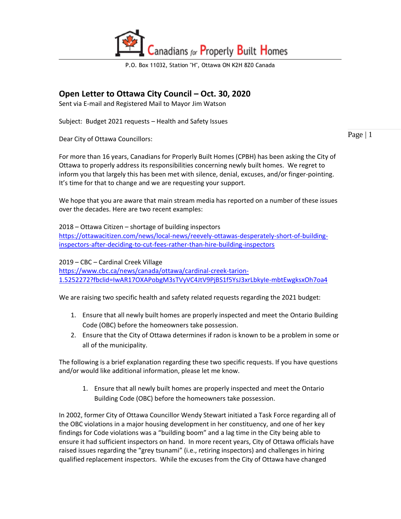

P.O. Box 11032, Station "H", Ottawa ON K2H 8Z0 Canada

## **Open Letter to Ottawa City Council – Oct. 30, 2020**

Sent via E-mail and Registered Mail to Mayor Jim Watson

Subject: Budget 2021 requests – Health and Safety Issues

Dear City of Ottawa Councillors:

For more than 16 years, Canadians for Properly Built Homes (CPBH) has been asking the City of Ottawa to properly address its responsibilities concerning newly built homes. We regret to inform you that largely this has been met with silence, denial, excuses, and/or finger-pointing. It's time for that to change and we are requesting your support.

We hope that you are aware that main stream media has reported on a number of these issues over the decades. Here are two recent examples:

2018 – Ottawa Citizen – shortage of building inspectors [https://ottawacitizen.com/news/local-news/reevely-ottawas-desperately-short-of-building](https://ottawacitizen.com/news/local-news/reevely-ottawas-desperately-short-of-building-inspectors-after-deciding-to-cut-fees-rather-than-hire-building-inspectors)[inspectors-after-deciding-to-cut-fees-rather-than-hire-building-inspectors](https://ottawacitizen.com/news/local-news/reevely-ottawas-desperately-short-of-building-inspectors-after-deciding-to-cut-fees-rather-than-hire-building-inspectors)

2019 – CBC – Cardinal Creek Village [https://www.cbc.ca/news/canada/ottawa/cardinal-creek-tarion-](https://www.cbc.ca/news/canada/ottawa/cardinal-creek-tarion-1.5252272?fbclid=IwAR17OXAPobgM3sTVyVC4JtV9PjBS1f5YsJ3xrLbkyIe-mbtEwgksxOh7oa4)[1.5252272?fbclid=IwAR17OXAPobgM3sTVyVC4JtV9PjBS1f5YsJ3xrLbkyIe-mbtEwgksxOh7oa4](https://www.cbc.ca/news/canada/ottawa/cardinal-creek-tarion-1.5252272?fbclid=IwAR17OXAPobgM3sTVyVC4JtV9PjBS1f5YsJ3xrLbkyIe-mbtEwgksxOh7oa4)

We are raising two specific health and safety related requests regarding the 2021 budget:

- 1. Ensure that all newly built homes are properly inspected and meet the Ontario Building Code (OBC) before the homeowners take possession.
- 2. Ensure that the City of Ottawa determines if radon is known to be a problem in some or all of the municipality.

The following is a brief explanation regarding these two specific requests. If you have questions and/or would like additional information, please let me know.

1. Ensure that all newly built homes are properly inspected and meet the Ontario Building Code (OBC) before the homeowners take possession.

In 2002, former City of Ottawa Councillor Wendy Stewart initiated a Task Force regarding all of the OBC violations in a major housing development in her constituency, and one of her key findings for Code violations was a "building boom" and a lag time in the City being able to ensure it had sufficient inspectors on hand. In more recent years, City of Ottawa officials have raised issues regarding the "grey tsunami" (i.e., retiring inspectors) and challenges in hiring qualified replacement inspectors. While the excuses from the City of Ottawa have changed

Page  $|1$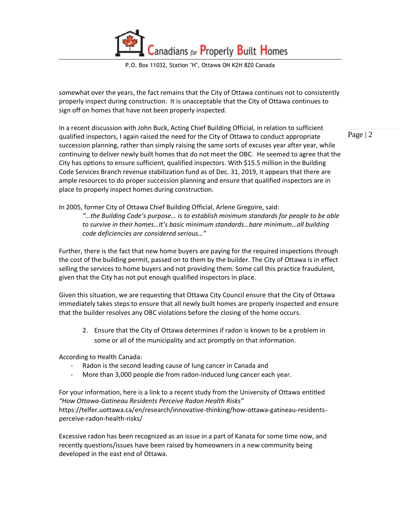anadians for Properly Built Homes

P.O. Box 11032, Station "H", Ottawa ON K2H 8Z0 Canada

somewhat over the years, the fact remains that the City of Ottawa continues not to consistently properly inspect during construction. It is unacceptable that the City of Ottawa continues to sign off on homes that have not been properly inspected.

Page | 2 In a recent discussion with John Buck, Acting Chief Building Official, in relation to sufficient qualified inspectors, I again raised the need for the City of Ottawa to conduct appropriate succession planning, rather than simply raising the same sorts of excuses year after year, while continuing to deliver newly built homes that do not meet the OBC. He seemed to agree that the City has options to ensure sufficient, qualified inspectors. With \$15.5 million in the Building Code Services Branch revenue stabilization fund as of Dec. 31, 2019, it appears that there are ample resources to do proper succession planning and ensure that qualified inspectors are in place to properly inspect homes during construction.

In 2005, former City of Ottawa Chief Building Official, Arlene Gregoire, said: *"…the Building Code's purpose… is to establish minimum standards for people to be able to survive in their homes…It's basic minimum standards…bare minimum…all building code deficiencies are considered serious…"*

Further, there is the fact that new home buyers are paying for the required inspections through the cost of the building permit, passed on to them by the builder. The City of Ottawa is in effect selling the services to home buyers and not providing them. Some call this practice fraudulent, given that the City has not put enough qualified inspectors in place.

Given this situation, we are requesting that Ottawa City Council ensure that the City of Ottawa immediately takes steps to ensure that all newly built homes are properly inspected and ensure that the builder resolves any OBC violations before the closing of the home occurs.

2. Ensure that the City of Ottawa determines if radon is known to be a problem in some or all of the municipality and act promptly on that information.

According to Health Canada:

- Radon is the second leading cause of lung cancer in Canada and
- More than 3,000 people die from radon-induced lung cancer each year.

For your information, here is a link to a recent study from the University of Ottawa entitled *"How Ottawa-Gatineau Residents Perceive Radon Health Risks"* https://telfer.uottawa.ca/en/research/innovative-thinking/how-ottawa-gatineau-residentsperceive-radon-health-risks/

Excessive radon has been recognized as an issue in a part of Kanata for some time now, and recently questions/issues have been raised by homeowners in a new community being developed in the east end of Ottawa.